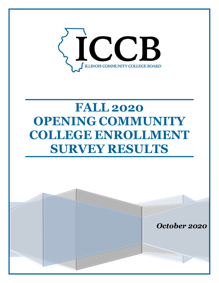

# **FALL 2020 OPENING COMMUNITY COLLEGE ENROLLMENT SURVEY RESULTS**

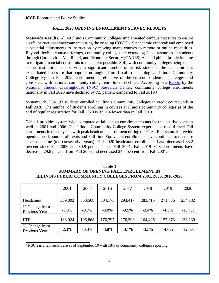ICCB Research and Policy Studies

## **FALL 2020 OPENING ENROLLMENT SURVEY RESULTS**

**Statewide Results.** All 48 Illinois Community Colleges implemented campus measures to ensure a safe instructional environment during the ongoing COVID-19 pandemic outbreak and employed substantial adjustments to instruction by moving many courses to remote or online modalities. Beyond flexible course offerings, community colleges are extending fiscal resources to students through Coronavirus Aid, Relief, and Economic Security (CARES) Act and philanthropic funding to mitigate financial constraints to the extent possible. Still, with community colleges being openaccess institutions and serving a significant number of at-risk students, the pandemic has exacerbated issues for that population ranging from fiscal to technological. Illinois Community College System Fall 2020 enrollment is reflective of the current pandemic challenges and consistent with national community college enrollment declines. According to a [Report](https://nscresearchcenter.org/stay-informed/) by the [National Student Clearinghouse \(NSC\) Research Center,](https://nscresearchcenter.org/) community college enrollments nationally in Fall 2020 have declined by 7.5 percent compared to Fall 2019.<sup>1</sup>

Systemwide, 234,132 students enrolled at Illinois Community Colleges in credit coursework in Fall 2020. The number of students enrolling in courses at Illinois community colleges as of the end of regular registration for Fall 2020 is 37,204 fewer than in Fall 2019.

[Table 1](#page-1-0) provides system-wide comparative fall census enrollment counts for the last five years as well as 2001 and 2006. The Illinois Community College System experienced record-level Fall enrollments in recent years with peak headcount enrollment during the Great Recession. Statewide opening headcount enrollments and Full-time Equivalent enrollments have continued to decrease since that time (ten consecutive years). Fall 2020 headcount enrollments have decreased 33.2 percent since Fall 2006 and 30.9 percent since Fall 2001. Fall 2019 FTE enrollments have decreased 29.8 percent from Fall 2006 and decreased 24.5 percent from Fall 2001.

### <span id="page-1-0"></span>**Table 1 SUMMARY OF OPENING FALL ENROLLMENT IN ILLINOIS PUBLIC COMMUNITY COLLEGES FROM 2001, 2006, 2016-2020**

|                                | 2001     | 2006    | 2016    | 2017     | 2018     | 2019     | 2020     |
|--------------------------------|----------|---------|---------|----------|----------|----------|----------|
| Headcount                      | 339,002  | 350,508 | 304,173 | 293,417  | 283,415  | 271,336  | 234,132  |
| % Change from<br>Previous Year | $-0.3\%$ | $-0.7%$ | $-3.8%$ | $-3.5%$  | $-3.4%$  | $-4.3%$  | $-13.7%$ |
| <b>FTE</b>                     | 183,024  | 196,868 | 176,797 | 170,303  | 164,405  | 157,873  | 138,139  |
| % Change from<br>Previous Year | 2.3%     | $-0.3%$ | $-3.8%$ | $-3.7\%$ | $-3.5\%$ | $-4.0\%$ | $-12.5%$ |

<sup>1</sup> NSC early fall results are as of September 10 with 18% of community colleges reporting.

**\_\_\_\_\_\_\_\_\_\_\_\_\_\_\_\_\_\_\_\_\_\_\_\_\_\_\_\_\_\_**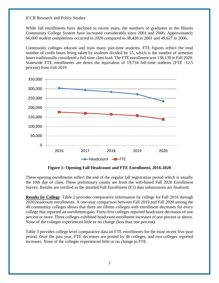ICCB Research and Policy Studies

While fall enrollments have declined in recent years, the numbers of graduates in the Illinois Community College System have increased considerably since 2001 and 2006. Approximately 66,000 student completions occurred in 2020 compared to 38,420 in 2001 and 49,627 in 2006.

Community colleges educate and train many part-time students. FTE figures reflect the total number of credit hours being taken by students divided by 15, which is the number of semester hours traditionally considered a full-time class load. The FTE enrollment was 138,139 in Fall 2020. Statewide FTE enrollments are down the equivalent of 19,734 full-time students (FTE -12.5 percent) from Fall 2019.



**Figure 1: Opening Fall Headcount and FTE Enrollment, 2016-2020**

These opening enrollments reflect the end of the regular fall registration period which is usually the 10th day of class. These preliminary counts are from the web-based Fall 2020 Enrollment Survey. Results are verified as the detailed Fall Enrollment (E1) data submissions are finalized.

**Results by College**. Table 2 provides comparative information by college for Fall 2016 through 2020 headcount enrollments. A one-year comparison between Fall 2019 and Fall 2020 among the 48 community colleges shows that there are fifteen colleges with enrollment decreases for every college that reported an enrollment gain. Forty-five colleges reported headcount decreases of one percent or more. Three colleges exhibited headcount enrollment increases of one percent or above. None of the colleges experienced little or no change (less than one percent).

Table 3 provides college level comparative data on FTE enrollments for the most recent five-year period. Over the past year, FTE decreases are posted by 46 colleges, and two colleges reported increases. None of the colleges experienced little or no change in FTE.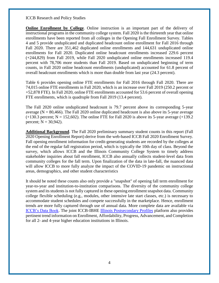ICCB Research and Policy Studies

**Online Enrollment by College**. Online instruction is an important part of the delivery of instructional programs in the community college system. Fall 2020 is the thirteenth year that online enrollments have been reported from all colleges in the Opening Fall Enrollment Survey. Tables 4 and 5 provide unduplicated and duplicated headcount online enrollment for Fall 2016 through Fall 2020. There are 351,462 duplicated online enrollments and 144,631 unduplicated online enrollments for Fall 2020. Duplicated online headcount enrollments increased 229.6 percent (+244,829) from Fall 2019, while Fall 2020 unduplicated online enrollments increased 119.4 percent with 78,706 more students than Fall 2019. Based on unduplicated beginning of term counts, in Fall 2020 online headcount enrollments (unduplicated) accounted for 61.8 percent of overall headcount enrollments which is more than double from last year (24.3 percent).

Table 6 provides opening online FTE enrollments for Fall 2016 through Fall 2020. There are 74,015 online FTE enrollments in Fall 2020, which is an increase over Fall 2019 (250.2 percent or +52,878 FTE). In Fall 2020, online FTE enrollments accounted for 53.6 percent of overall opening FTE enrollments, which is quadruple from Fall 2019 (13.4 percent).

The Fall 2020 online unduplicated headcount is 79.7 percent above its corresponding 5-year average ( $N = 80,466$ ). The Fall 2020 online duplicated headcount is also above its 5-year average  $(+130.3 \text{ percent}; N = 152,602)$ . The online FTE for Fall 2020 is above its 5-year average  $(+139.2 \text{ m})$ percent;  $N = 30,942$ ).

**Additional Background**. The Fall 2020 preliminary summary student counts in this report (Fall 2020 Opening Enrollment Report) derive from the web-based ICCB Fall 2020 Enrollment Survey. Fall opening enrollment information for credit-generating students are recorded by the colleges at the end of the regular fall registration period, which is typically the 10th day of class. Beyond the survey, which allows ICCB and the Illinois Community College System to timely address stakeholder inquiries about fall enrollment, ICCB also annually collects student-level data from community colleges for the fall term. Upon finalization of the data in late-fall, the nuanced data will allow ICCB to more fully analyze the impact of the COVID-19 pandemic on instructional areas, demographics, and other student characteristics

It should be noted these counts also only provide a "snapshot" of opening fall term enrollment for year-to-year and institution-to-institution comparisons. The diversity of the community college system and its students is not fully captured in these opening enrollment snapshot data. Community college flexible scheduling (e.g., modules, other intensive late start classes, etc.) is necessary to accommodate student schedules and compete successfully in the marketplace. Hence, enrollment trends are more fully captured through use of annual data. More complete data are available via [ICCB's Data Book.](https://www.iccb.org/data/data-characteristics/) The joint ICCB-IBHE [Illinois Postsecondary Profiles](http://illinoispostsecondaryprofiles.com/) platform also provides pertinent trend information on Enrollment, Affordability, Progress, Advancement, and Completion for all 2- and 4-year higher education institutions in Illinois.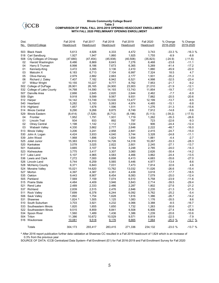# $\langle$ **iCCB**

#### **Illinois Community College Board Table 2 COMPARISON OF FINAL FALL 2016-2019 OPENING HEADCOUNT ENROLLMENT WITH FALL 2020 PRELIMINARY OPENING ENROLLMENT**

| Dist. |                           | <b>Fall 2016</b> | <b>Fall 2017</b> | <b>Fall 2018</b> | <b>Fall 2019</b> | <b>Fall 2020</b> | % Change  | % Change  |
|-------|---------------------------|------------------|------------------|------------------|------------------|------------------|-----------|-----------|
| No.   | District/College          | Headcount        | Headcount        | Headcount        | Headcount        | Headcount        | 2016-2020 | 2019-2020 |
|       |                           |                  |                  |                  |                  |                  |           |           |
| 503   | <b>Black Hawk</b>         | 5,613            | 4.926            | 4,333            | 4,472            | 3,743            | $-33.3%$  | $-16.3%$  |
| 518   | Carl Sandburg             | 1,927            | 1,947            | 1,860            | 1,925            | 1,755            | $-8.9$    | $-8.8$    |
| 508   | City Colleges of Chicago  | (47, 680)        | (47, 454)        | (45,938)         | (40, 508)        | (35, 823)        | $(-24.9)$ | $(-11.6)$ |
| 02    | Harold Washington         | 8,486            | 8,869            | 8,643            | 7,276            | 6,468            | $-23.8$   | $-11.1$   |
| 04    | Harry S Truman            | 8,998            | 8,186            | 7,673            | 6,365            | 5,269            | $-41.4$   | $-17.2$   |
| 01    | Kennedy-King              | 3,472            | 3,395            | 3,136            | 2,410            | 1,880            | $-45.9$   | $-22.0$   |
| 03    | Malcolm X                 | 6,183            | 6,713            | 7,104            | 6,997            | 7,324            | 18.5      | 4.7       |
| 05    | Olive-Harvey              | 2,979            | 2,882            | 2,663            | 2,177            | 1,931            | $-35.2$   | $-11.3$   |
| 06    | Richard J. Daley          | 7,407            | 7,182            | 6,942            | 6,521            | 4,998            | $-32.5$   | $-23.4$   |
| 07    | <b>Wilbur Wright</b>      | 10,155           | 10,227           | 9,777            | 8,762            | 7,953            | $-21.7$   | $-9.2$    |
| 502   | College of DuPage         | 26,901           | 26,165           | 24,900           | 23,903           | 21,010           | $-21.9$   | $-12.1$   |
| 532   | College of Lake County    | 14,768           | 14,590           | 14,193           | 13,743           | 11,854           | $-19.7$   | $-13.7$   |
| 507   | Danville Area             | 2,666            | 2,645            | 2,620            | 2,644            | 2,462            | $-7.7$    | $-6.9$    |
| 509   | Elgin                     | 9,918            | 9,599            | 9,567            | 9,931            | 7,882            | $-20.5$   | $-20.6$   |
| 512   | Harper                    | 14,142           | 13,749           | 13,530           | 13,477           | 12,199           | $-13.7$   | $-9.5$    |
| 540   | Heartland                 | 5,282            | 5,193            | 5,063            | 4,974            | 4,485            | $-15.1$   | $-9.8$    |
| 519   | Highland                  | 1,857            | 1,678            | 1,596            | 1,511            | 1,276            | $-31.3$   | $-15.6$   |
| 514   | <b>Illinois Central</b>   | 9,290            | 9,266            | 8,875            | 8,749            | 7,912            | $-14.8$   | $-9.6$    |
| 529   | Illinois Eastern          | (8, 414)         | (7, 528)         | (6, 712)         | (6, 196)         | (5, 113)         | $(-39.2)$ | $(-17.5)$ |
| 04    | Frontier                  | 1,952            | 1,791            | 1,931            | 1,719            | 1,262            | $-35.3$   | -26.6     |
| 01    | Lincoln Trail             | 934              | 933              | 892              | 797              | 723              | $-22.6$   | $-9.3$    |
| 02    | <b>Olney Central</b>      | 1,198            | 1,142            | 1,112            | 1,034            | 906              | $-24.4$   | $-12.4$   |
| 03    | Wabash Valley             | 4,330            | 3,662            | 2,777            | 2,646            | 2,222            | $-48.7$   | $-16.0$   |
| 513   | <b>Illinois Valley</b>    | 3,206            | 3,241            | 2,958            | 2,841            | 2,415            | $-24.7$   | $-15.0$   |
| 530   | John A. Logan             | 4,424            | 3,933            | 4,040            | 3,744            | 3,328            | $-24.8$   | $-11.1$   |
| 539   | John Wood                 | 1,968            | 1,896            | 1,924            | 1,934            | 1,881            | -4.4      | $-2.7$    |
| 525   | Joliet Junior             | 15,383           | 14,910           | 14,726           | 14,318           | 10,267           | $-33.3$   | $-28.3$   |
| 520   | Kankakee                  | 3,078            | 3,025            | 2,822            | 2,601            | 2,245            | $-27.1$   | $-13.7$   |
| 501   | Kaskaskia                 | 3,665            | 3,107            | 3,164            | 3,248            | 2,785            | $-24.0$   | $-14.3$   |
| 523   | Kishwaukee                | 3,775            | 3,417            | 3,307            | 3,060            | 2,626            | $-30.4$   | $-14.2$   |
| 517   | Lake Land                 | 5,107            | 4,965            | 4,583            | 4,466            | 3,862            | $-24.4$   | $-13.5$   |
| 536   | Lewis and Clark           | 7,272            | 7,000            | 6,698            | 6,413            | 4,683            | $-35.6$   | $-27.0$   |
| 526   | Lincoln Land              | 5,744            | 6,259            | 5,565            | 5,446            | 4,977            | $-13.4$   | $-8.6$    |
| 528   | <b>McHenry County</b>     | 6,371            | 6,843            | 7,031            | 7,473            | 7,814            | 22.6      | 4.6       |
| 524   | Moraine Valley            | 15,021           | 14,620           | 13,762           | 13,032           | 11,026           | $-26.6$   | $-15.4$   |
| 527   | Morton                    | 4,397            | 4,387            | 4,351            | 4,439            | 3,618            | $-17.7$   | $-18.5$   |
|       | 535 Oakton                | 9,443            | 8,907            | 8,454            | 8,083            | 7,079            | $-25.0$   | $-12.4$   |
| 505   | Parkland                  | 7,569            | 7,159            | 7,074            | 6,510            | 5,758            | $-23.9$   | $-11.6$   |
| 515   | <b>Prairie State</b>      | 4,484            | 4,409            | 3,946            | 3,843            | 2,714            | $-39.5$   | $-29.4$   |
| 521   | Rend Lake                 | 2,489            | 2,333            | 2,486            | 2,287            | 1,802            | $-27.6$   | $-21.2$   |
| 537   | Richland                  | 2,839            | 2,515            | 2,476            | 2,846            | 2,235            | $-21.3$   | $-21.5$   |
| 511   | <b>Rock Valley</b>        | 7,699            | 6,378            | 6,244            | 6,092            | 5,762            | $-25.2$   | $-5.4$    |
| 506   | Sauk Valley               | 1,892            | 1,754            | 1,628            | 1,616            | 1,386            | $-26.7$   | $-14.2$   |
| 531   | Shawnee                   | $1,824$ ^        | 1,505            | 1,125            | 1,083            | 1,176            | $-35.5$   | 8.6       |
|       | 510 South Suburban        | 3,703            | 3,921            | 4,232            | 4,066            | 3,388            | $-8.5$    | $-16.7$   |
|       | 533 Southeastern Illinois | 1,820            | 1,655            | 1,650            | 1,732            | 1,263            | $-30.6$   | $-27.1$   |
|       | 522 Southwestern Illinois | 9,515            | 8,859            | 8,841            | 8,508            | 6,906            | $-27.4$   | $-18.8$   |
|       | 534 Spoon River           | 1,560            | 1,489            | 1,436            | 1,386            | 1,239            | $-20.6$   | $-10.6$   |
|       | 504 Triton                | 11,386           | 10,672           | 10,529           | 9,571            | 8,819            | $-22.5$   | $-7.9$    |
|       | 516 Waubonsee             | 10,081           | 9,518            | 9,176            | 8,665            | 7,564            | $-25.0%$  | $-12.7%$  |
|       | Totals                    | 304,173          | 293,417          | 283,415          | 271,336          | 234,132          | $-23.0%$  | $-13.7%$  |

^ After 2016 report publication further data validation at Shawnee CC resulted in a Fall 2016 headcount of 1,824 which is an increase of 0.3% from the previous year

SOURCE OF DATA: ICCB Centralized Data System--Fall Enrollment (E1) for Fall 2016-2019 and Fall Enrollment Survey for Fall 2020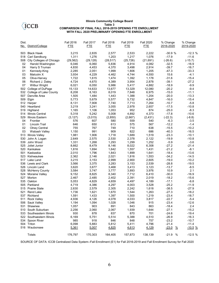#### **Illinois Community College Board Table 3 COMPARISON OF FINAL FALL 2016-2019 OPENING FTE ENROLLMENT WITH FALL 2020 PRELIMINARY OPENING FTE ENROLLMENT**

| Dist. |                           | <b>Fall 2016</b> | <b>Fall 2017</b> | <b>Fall 2018</b> | <b>Fall 2019</b> | <b>Fall 2020</b> | % Change                 | % Change  |
|-------|---------------------------|------------------|------------------|------------------|------------------|------------------|--------------------------|-----------|
|       | No. District/College      | <b>FTE</b>       | <b>FTE</b>       | <b>FTE</b>       | <b>FTE</b>       | <b>FTE</b>       | 2016-2020                | 2019-2020 |
| 503   | <b>Black Hawk</b>         | 3,215            | 2,835            | 2,577            | 2,533            | 2,222            | $-30.9%$                 | $-12.3%$  |
| 518   | Carl Sandburg             | 1,311            | 1,276            | 1,203            | 1,217            | 1,076            | $-17.9$                  | $-11.6$   |
| 508   | City Colleges of Chicago  | (29, 562)        | (29, 128)        | (28, 517)        | (25, 726)        | (21, 691)        | $(-26.6)$                | $(-15.7)$ |
| 02    | Harold Washington         | 6,046            | 6,060            | 5,836            | 4,914            | 4,082            | $-32.5$                  | $-16.9$   |
| 04    | Harry S Truman            | 4,830            | 4,453            | 4,370            | 3,498            | 2,914            | $-39.7$                  | $-16.7$   |
| 01    | Kennedy-King              | 2,285            | 2,051            | 1,999            | 1,806            | 1,205            | $-47.3$                  | $-33.3$   |
| 03    | Malcolm X                 | 3,934            | 4,229            | 4,462            | 4,744            | 4,550            | 15.6                     | $-4.1$    |
| 05    | Olive-Harvey              | 1,722            | 1,615            | 1,474            | 1,392            | 1,178            | $-31.6$                  | $-15.4$   |
| 06    | Richard J. Daley          | 4,724            | 4.670            | 4,389            | 3,954            | 2,878            | $-39.1$                  | $-27.2$   |
| 07    | <b>Wilbur Wright</b>      | 6,021            | 6,050            | 5,986            | 5,417            | 4,882            | $-18.9$                  | $-9.9$    |
| 502   | College of DuPage         | 15,133           | 14,633           | 13,677           | 13,329           | 12,080           | $-20.2$                  | $-9.4$    |
| 532   | College of Lake County    | 8,208            | 8,163            | 8,019            | 7,848            | 6,975            | $-15.0$                  | $-11.1$   |
| 507   | Danville Area             | 1,505            | 1,484            | 1,443            | 1,388            | 1,204            | $-20.0$                  | $-13.3$   |
| 509   |                           | 5,773            | 5,679            | 5,577            | 5,732            | 4,847            | $-16.0$                  | $-15.4$   |
|       | Elgin                     | 8,131            | 7,908            | 7,740            | 7,713            | 7,264            | $-10.7$                  | $-5.8$    |
| 512   | Harper                    |                  |                  |                  |                  |                  | $-17.5$                  | $-10.8$   |
| 540   | Heartland                 | 3,219            | 3,241            | 3,055            | 2,978            | 2,657            | $-25.0$                  | $-8.3$    |
| 519   | Highland                  | 1,165            | 1,106            | 1,053            | 952              | 874              |                          |           |
| 514   | <b>Illinois Central</b>   | 5,318            | 5,242            | 5,008            | 4,892            | 4,373            | $-17.8$                  | $-10.6$   |
| 529   | Illinois Eastern          | (3, 127)         | (3,015)          | (2,850)          | (2,667)          | (2, 431)         | $(-22.3)$                | $(-8.8)$  |
| 04    | Frontier                  | 576              | 607              | 580              | 559              | 540              | -6.3                     | $-3.5$    |
| 01    | Lincoln Trail             | 646              | 650              | 613              | 575              | 567              | $-12.2$                  | $-1.4$    |
| 02    | <b>Olney Central</b>      | 755              | 767              | 749              | 710              | 638              | $-15.5$                  | $-10.2$   |
| 03    | Wabash Valley             | 1,150            | 991              | 909              | 822              | 686              | $-40.3$                  | $-16.5$   |
| 513   | Illinois Valley           | 1,981            | 1,906            | 1,718            | 1,689            | 1,519            | $-23.3$                  | $-10.1$   |
| 530   | John A. Logan             | 2,649            | 2,575            | 2,530            | 2,378            | 2.122            | $-19.9$                  | $-10.8$   |
| 539   | John Wood                 | 1,331            | 1,268            | 1,293            | 1,299            | 1,252            | $-5.9$                   | $-3.6$    |
| 525   | Joliet Junior             | 8,662            | 8,479            | 8,146            | 8,022            | 6,308            | $-27.2$                  | $-21.4$   |
| 520   | Kankakee                  | 1,816            | 1,694            | 1,642            | 1,557            | 1,431            | $-21.2$                  | $-8.1$    |
| 501   | Kaskaskia                 | 2,010            | 1,796            | 1,843            | 1,899            | 1,641            | $-18.4$                  | $-13.6$   |
| 523   | Kishwaukee                | 2,362            | 2,146            | 2,021            | 1,816            | 1,553            | $-34.2$                  | $-14.5$   |
| 517   | Lake Land                 | 3,215            | 3,153            | 2,999            | 2,900            | 2,605            | $-19.0$                  | $-10.2$   |
| 536   | Lewis and Clark           | 3,566            | 3,375            | 3,283            | 3,153            | 2,539            | $-28.8$                  | $-19.5$   |
| 526   | Lincoln Land              | 3,620            | 3,677            | 3,468            | 3,413            | 3,123            | $-13.7$                  | $-8.5$    |
| 528   | <b>McHenry County</b>     | 3,584            | 3,747            | 3,777            | 3,893            | 3,976            | 10.9                     | 2.1       |
| 524   | Moraine Valley            | 9,152            | 8,825            | 8,340            | 7,712            | 6,410            | $-30.0$                  | $-16.9$   |
| 527   | Morton                    | 2,467            | 2,485            | 2,402            | 2,391            | 2,019            | $-18.2$                  | $-15.6$   |
|       | 535 Oakton                | 5,053            | 4,829            | 4,659            | 4,497            | 4,189            | $-17.1$                  | $-6.8$    |
|       | 505 Parkland              | 4,719            | 4,386            | 4,297            | 4,003            | 3,528            | $-25.2$                  | $-11.9$   |
|       | 515 Prairie State         | 2,630            | 2,579            | 2,305            | 2,242            | 1,618            | $-38.5$                  | $-27.9$   |
| 521   | <b>Rend Lake</b>          | 1,736            | 1,621            | 1,670            | 1,544            | 1,263            | $-27.3$                  | $-18.2$   |
| 537   | Richland                  | 1,591            | 1,433            | 1,397            | 1,500            | 1,219            | $-23.4$                  | $-18.7$   |
| 511   | <b>Rock Valley</b>        | 4,936            | 4,126            | 4,078            | 4,033            | 3,817            | $-22.7$                  | $-5.4$    |
|       | 506 Sauk Valley           | 1,194            | 1,094            | 1,028            | 1,046            | 915              | $-23.4$                  | $-12.6$   |
| 531   | Shawnee                   | 1,057            | 903              | 891              | 843              | 863              | $-18.4$                  | 2.4       |
|       | 510 South Suburban        | 2,256            | 2,060            | 2,067            | 1,939            | 1,644            | $-27.1$                  | $-15.2$   |
|       | 533 Southeastern Illinois | 930              | 878              | 837              | 870              | 701              | $-24.6$                  | $-19.4$   |
|       | 522 Southwestern Illinois | 6,169            | 5,751            | 5,514            | 5,388            | 4,510            | $-26.9$                  | $-16.3$   |
|       | 534 Spoon River           | 985              | 918              | 846              | 848              | 757              | $-23.2$                  | $-10.7$   |
|       | 504 Triton                | 6,098            | 5,883            | 5,812            | 5,411            | 4,796            | $-21.4$                  | $-11.4$   |
|       | 516 Waubonsee             | 5,361            | 5,007            | 4,825            | 4,613            | 4,129            | $-23.0$<br>$\frac{0}{2}$ | $-10.5%$  |
|       | Totals                    | 176,797          | 170,303          | 164,405          | 157,873          | 138,139          | $-21.9 %$                | $-12.5%$  |

SOURCE OF DATA: ICCB Centralized Data System--Fall Enrollment (E1) for Fall 2016-2019 and Fall Enrollment Survey for Fall 2020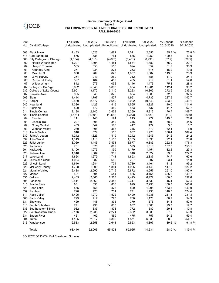#### **Illinois Community College Board Table 4 PRELIMINARY OPENING UNDUPLICATED ONLINE ENROLLMENT FALL 2016-2020**

| Dist.<br>No. | District/College                          | <b>Fall 2016</b><br>Unduplicated | <b>Fall 2017</b><br>Unduplicated | <b>Fall 2018</b><br>Unduplicated | <b>Fall 2019</b><br>Unduplicated | <b>Fall 2020</b><br>Unduplicated | % Change<br>2016-2020 | % Change<br>2019-2020 |
|--------------|-------------------------------------------|----------------------------------|----------------------------------|----------------------------------|----------------------------------|----------------------------------|-----------------------|-----------------------|
|              |                                           |                                  |                                  |                                  |                                  |                                  |                       |                       |
| 503          | <b>Black Hawk</b>                         | 1,433                            | 1,526<br>738                     | 1,482                            | 1,511                            | 2,656                            | 85.3 %                | 75.8 %                |
| 518<br>508   | Carl Sandburg<br>City Colleges of Chicago | 566<br>(4, 184)                  | (4,510)                          | 761<br>(4, 873)                  | 836<br>(5,401)                   | 1,250                            | 120.8                 | 49.5                  |
| 02           | Harold Washington                         | 1,207                            | 1,394                            | 1,481                            | 1,534                            | (6,996)<br>1,882                 | (67.2)<br>55.9        | (29.5)<br>22.7        |
| 04           | Harry S Truman                            | 565                              | 550                              | 518                              | 624                              | 854                              | 51.2                  | 36.9                  |
| 01           | Kennedy-King                              | 271                              | 234                              | 274                              | 263                              | 315                              | 16.2                  | 19.8                  |
| 03           | Malcolm X                                 | 638                              | 709                              | 840                              | 1,057                            | 1,362                            | 113.5                 | 28.9                  |
| 05           | Olive-Harvey                              | 264                              | 243                              | 269                              | 312                              | 388                              | 47.0                  | 24.4                  |
| 06           | Richard J. Daley                          | 397                              | 404                              | 459                              | 465                              | 719                              | 81.1                  | 54.6                  |
| 07           | Wilbur Wright                             | 842                              | 976                              | 1,032                            | 1,146                            | 1,476                            | 75.3                  | 28.8                  |
| 502          | College of DuPage                         | 5,632                            | 5,848                            | 5,833                            | 6,034                            | 11,961                           | 112.4                 | 98.2                  |
| 532          | College of Lake County                    | 2,901                            | 3,172                            | 3,110                            | 3,223                            | 10,805                           | 272.5                 | 235.2                 |
| 507          | Danville Area                             | 965                              | 843                              | 875                              | 864                              | 1,663                            | 72.3                  | 92.5                  |
| 509          | Elgin                                     | 1,444                            | 1,797                            | 1,427                            | 1,951                            | 4,735                            | 227.9                 | 142.7                 |
|              | 512 Harper                                | 2,489                            | 2,577                            | 2,649                            | 3,022                            | 10,549                           | 323.8                 | 249.1                 |
| 540          | Heartland                                 | 1,386                            | 1,423                            | 1,416                            | 1,555                            | 3,327                            | 140.0                 | 114.0                 |
| 519          | Highland                                  | 520                              | 472                              | 480                              | 453                              | 737                              | 41.7                  | 62.7                  |
| 514          | <b>Illinois Central</b>                   | 2,138                            | 2,140                            | 2,433                            | 2,369                            | 5,916                            | 176.7                 | 149.7                 |
| 529          | Illinois Eastern                          | (1, 151)                         | (1, 301)                         | (1,490)                          | (1,353)                          | (1,623)                          | (41.0)                | (20.0)                |
| 04           | Frontier                                  | 111                              | 140                              | 194                              | 215                              | 277                              | 149.5                 | 28.8                  |
| 01           | Lincoln Trail                             | 297                              | 308                              | 342                              | 345                              | 499                              | 68.0                  | 44.6                  |
| 02           | <b>Olney Central</b>                      | 463                              | 547                              | 586                              | 447                              | 477                              | 3.0                   | 6.7                   |
| 03           | Wabash Valley                             | 280                              | 306                              | 368                              | 346                              | 370                              | 32.1                  | 6.9                   |
| 513          | <b>Illinois Valley</b>                    | 618                              | 579                              | 555                              | 657                              | 1,770                            | 186.4                 | 169.4                 |
| 530          | John A. Logan                             | 1,242                            | 1,325                            | 1,419                            | 1,242                            | 1,543                            | 24.2                  | 24.2                  |
| 539          | John Wood                                 | 1,143                            | 1,113                            | 1,150                            | 1,135                            | 1,396                            | 22.1                  | 23.0                  |
| 525          | Joliet Junior                             | 3,069                            | 3,443                            | 3,431                            | 3,577                            | 9,885                            | 222.1                 | 176.3                 |
| 520          | Kankakee                                  | 731                              | 675                              | 662                              | 593                              | 1,513                            | 107.0                 | 155.1                 |
| 501          | Kaskaskia                                 | 1,100                            | 1,075                            | 1,199                            | 1,179                            | 1,454                            | 32.2                  | 23.3                  |
| 523          | Kishwaukee                                | 1,016                            | 1,004                            | 959                              | 910                              | 2,022                            | 99.0                  | 122.2                 |
|              | 517 Lake Land                             | 1,624                            | 1,679                            | 1,741                            | 1,693                            | 2,837                            | 74.7                  | 67.6                  |
| 536          | Lewis and Clark                           | 1,054                            | 882                              | 682                              | 727                              | 807                              | $-23.4$               | 11.0                  |
| 526          | Lincoln Land                              | 1,640                            | 1,684                            | 1,704                            | 1,739                            | 3,464                            | 111.2                 | 99.2                  |
| 528          | <b>McHenry County</b>                     | 1,798                            | 1,809                            | 1,881                            | 1,965                            | 4,445                            | 147.2                 | 126.2                 |
| 524          | Moraine Valley                            | 2,438                            | 2,590                            | 2,719                            | 2,872                            | 8,557                            | 251.0                 | 197.9                 |
|              | 527 Morton                                | 401                              | 504                              | 544                              | 485                              | 3,151                            | 685.8                 | 549.7                 |
|              | 535 Oakton                                | 2,465                            | 2,366                            | 2,508                            | 2,493                            | 6,422                            | 160.5                 | 157.6                 |
| 505          | Parkland                                  | 2,411                            | 2,369                            | 2,448                            | 2,317                            | 3,530                            | 46.4                  | 52.4                  |
|              | 515 Prairie State                         | 881                              | 830                              | 836                              | 929                              | 2,293                            | 160.3                 | 146.8                 |
| 521          | <b>Rend Lake</b>                          | 555                              | 456                              | 476                              | 520                              | 1,295                            | 133.3                 | 149.0                 |
| 537          | Richland                                  | 720                              | 723                              | 731                              | 771                              | 1,730                            | 140.3                 | 124.4                 |
| 511          | <b>Rock Valley</b>                        | 1,405                            | 1,270                            | 1,522                            | 1,490                            | 4,936                            | 251.3                 | 231.3                 |
| 506          | Sauk Valley                               | 729                              | 719                              | 725                              | 760                              | 1,173                            | 60.9                  | 54.3                  |
|              | 531 Shawnee                               | 429                              | 448                              | 395                              | 379                              | 576                              | 34.3                  | 52.0                  |
|              | 510 South Suburban                        | 771                              | 798                              | 810                              | 887                              | 1,000                            | 29.7                  | 12.7                  |
|              | 533 Southeastern Illinois                 | 982                              | 833                              | 808                              | 772                              | 689                              | $-29.8$               | $-10.8$               |
|              | 522 Southwestern Illinois                 | 2,176                            | 2,238                            | 2,274                            | 2,362                            | 3,635                            | 67.0                  | 53.9                  |
|              | 534 Spoon River                           | 461                              | 469                              | 469                              | 475                              | 757                              | 64.2                  | 59.4                  |
|              | 504 Triton                                | 4,195                            | 2,017                            | 3,305                            | 1,871                            | 6,636                            | 58.2                  | 254.7                 |
|              | 516 Waubonsee                             | 2,583                            | 2,658                            | 2,641                            | 2,553                            | 4,897                            | 89.6 %                | 91.8 %                |
|              | Totals                                    | 63,446                           | 62,903                           | 65,423                           | 65,925                           | 144,631                          | 128.0 %               | 119.4 %               |

SOURCE OF DATA: Fall Enrollment Surveys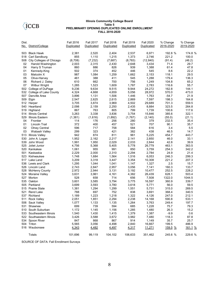#### **Illinois Community College Board Table 5 PRELIMINARY OPENING DUPLICATED ONLINE ENROLLMENT FALL 2016-2020**

| Dist.      | No. District/College                    | <b>Fall 2016</b><br>Duplicated | <b>Fall 2017</b><br>Duplicated | <b>Fall 2018</b><br>Duplicated | <b>Fall 2019</b><br>Duplicated | <b>Fall 2020</b><br>Duplicated | % Change<br>2016-2020 | % Change<br>2019-2020 |
|------------|-----------------------------------------|--------------------------------|--------------------------------|--------------------------------|--------------------------------|--------------------------------|-----------------------|-----------------------|
| 503        | <b>Black Hawk</b>                       | 2,381                          | 2,520                          | 2,404                          | 2,537                          | 6,971                          | 192.8 %               | 174.8 %               |
| 518        | Carl Sandburg                           | 855                            | 1,110                          | 1,215                          | 1,373                          | 2,746                          | 221.2                 | 100.0                 |
| 508        | City Colleges of Chicago                | (6,708)                        | (7, 232)                       | (7,687)                        | (8, 783)                       | (12, 840)                      | (91.4)                | (46.2)                |
| 02         | Harold Washington                       | 2,003                          | 2,315                          | 2,430                          | 2,648                          | 3,434                          | 71.4                  | 29.7                  |
| 04         | Harry S Truman                          | 860                            | 886                            | 826                            | 939                            | 1,388                          | 61.4                  | 47.8                  |
| 01         | Kennedy-King                            | 502                            | 374                            | 452                            | 446                            | 545                            | 8.6                   | 22.2                  |
| 03         | Malcolm X                               | 987                            | 1,084                          | 1,259                          | 1,662                          | 2,153                          | 118.1                 | 29.5                  |
| 05         | Olive-Harvey                            | 461                            | 388                            | 411                            | 545                            | 1,288                          | 179.4                 | 136.3                 |
| 06         | Richard J. Daley                        | 610                            | 662                            | 700                            | 756                            | 1,249                          | 104.8                 | 65.2                  |
| 07         | <b>Wilbur Wright</b>                    | 1,285                          | 1,523                          | 1,609                          | 1,787                          | 2,783                          | 116.6                 | 55.7                  |
| 502        | College of DuPage                       | 9,236                          | 9,634                          | 9,515                          | 9,944                          | 24,272                         | 162.8                 | 144.1                 |
| 532        | College of Lake County                  | 4,324                          | 4,668                          | 4,659                          | 5,056                          | 28,972                         | 570.0                 | 473.0                 |
| 507        | Danville Area                           | 3,896                          | 1,131                          | 1,506                          | 1,446                          | 1,763                          | $-54.7$               | 21.9                  |
| 509        | Elgin                                   | 2,547                          | 2,625                          | 2,615                          | 2,869                          | 7,597                          | 198.3                 | 164.8                 |
|            | 512 Harper                              | 3,705                          | 3,874                          | 3,969                          | 4,502                          | 29,689                         | 701.3                 | 559.5                 |
| 540        | Heartland                               | 2,098                          | 2,159                          | 2,250                          | 2,435                          | 8,884                          | 323.5                 | 264.8                 |
| 519        | Highland                                | 867                            | 763                            | 805                            | 799                            | 1,739                          | 100.6                 | 117.6                 |
| 514        | <b>Illinois Central</b>                 | 3,263                          | 3,338                          | 3,836                          | 3,754                          | 15,846                         | 385.6                 | 322.1                 |
| 529        | Illinois Eastern                        | (1,381)                        | (1,616)                        | (1,892)                        | (1,767)                        | (2, 140)                       | (55.0)                | (21.1)                |
| 04         | Frontier                                | 114                            | 176                            | 256                            | 280                            | 379                            | 232.5                 | 35.4                  |
| 01         | Lincoln Trail                           | 372                            | 400                            | 457                            | 521                            | 707                            | 90.1                  | 35.7                  |
| 02         | <b>Olney Central</b>                    | 596                            | 717                            | 758                            | 584                            | 616                            | 3.4                   | 5.5                   |
| 03         | Wabash Valley                           | 299                            | 323                            | 421                            | 382                            | 438                            | 46.5                  | 14.7                  |
| 513        | <b>Illinois Valley</b>                  | 942                            | 874                            | 811                            | 961                            | 5,225                          | 454.7                 | 443.7                 |
| 530        | John A. Logan                           | 1,952                          | 2,162                          | 2,217                          | 2,141                          | 2,850                          | 46.0                  | 33.1                  |
| 539        | John Wood                               | 1,991                          | 1,950                          | 2,029                          | 2,033                          | 2,844                          | 42.8                  | 39.9                  |
| 525        | Joliet Junior                           | 4,756                          | 5,368                          | 5,405                          | 5,778                          | 26,779                         | 463.1                 | 363.5                 |
| 520        | Kankakee                                | 1,061                          | 955                            | 991                            | 850                            | 3,759                          | 254.3                 | 342.2                 |
| 501        | Kaskaskia                               | 2,229                          | 2,000                          | 2,310                          | 2,294                          | 2,784                          | 24.9                  | 21.4                  |
| 523        | Kishwaukee                              | 1,748                          | 1,684                          | 1,564                          | 1,516                          | 6,053                          | 246.3                 | 299.3                 |
| 517        | Lake Land                               | 3,209                          | 3,318                          | 3,447                          | 3,354                          | 10,308                         | 221.2                 | 207.3                 |
| 536<br>526 | Lewis and Clark                         | 1,295                          | 1,044                          | 1,041                          | 1,147                          | 1,327                          | 2.5                   | 15.7<br>133.7         |
| 528        | Lincoln Land                            | 2,743<br>2,972                 | 2,847<br>2,944                 | 2,957<br>3,131                 | 3,056<br>3,192                 | 7,141<br>10,477                | 160.3<br>252.5        | 228.2                 |
| 524        | <b>McHenry County</b><br>Moraine Valley | 3,631                          | 3,961                          | 4,161                          | 4,382                          | 26,439                         | 628.1                 | 503.4                 |
| 527        | Morton                                  | 528                            | 658                            | 714                            | 656                            | 7,508                          | 1322.0                | 1044.5                |
| 535        | Oakton                                  | 3,601                          | 3,585                          | 3,794                          | 3,775                          | 16,597                         | 360.9                 | 339.7                 |
| 505        | Parkland                                | 3,699                          | 3,593                          | 3,780                          | 3,618                          | 5,771                          | 56.0                  | 59.5                  |
| 515        | <b>Prairie State</b>                    | 1,381                          | 1,294                          | 1,299                          | 1,551                          | 5,731                          | 315.0                 | 269.5                 |
| 521        | <b>Rend Lake</b>                        | 788                            | 697                            | 752                            | 838                            | 3,691                          | 368.4                 | 340.5                 |
| 537        | Richland                                | 1,189                          | 1,223                          | 1,218                          | 1,322                          | 4,126                          | 247.0                 | 212.1                 |
| 511        | <b>Rock Valley</b>                      | 2,051                          | 1,851                          | 2,294                          | 2,238                          | 14,168                         | 590.8                 | 533.1                 |
|            | 506 Sauk Valley                         | 1,077                          | 1,133                          | 1,135                          | 1,264                          | 3,763                          | 249.4                 | 197.7                 |
|            | 531 Shawnee                             | 699                            | 739                            | 594                            | 685                            | 1,228                          | 75.7                  | 79.3                  |
|            | 510 South Suburban                      | 1,172                          | 1,145                          | 1,156                          | 1,285                          | 1,480                          | 26.3                  | 15.2                  |
|            | 533 Southeastern Illinois               | 1,540                          | 1,430                          | 1,415                          | 1,379                          | 1,387                          | $-9.9$                | 0.6                   |
|            | 522 Southwestern Illinois               | 3,426                          | 3,588                          | 3,672                          | 3,982                          | 7,480                          | 118.3                 | 87.8                  |
|            | 534 Spoon River                         | 847                            | 868                            | 867                            | 914                            | 1,149                          | 35.7                  | 25.7                  |
|            | 504 Triton                              | 5,565                          | 3,056                          | 4,498                          | 2,840                          | 16,667                         | 199.5                 | 486.9                 |
|            | 516 Waubonsee                           | 4,343                          | 4,482                          | 4,497                          | 4,317                          | 11,271                         | 159.5 %               | 161.1 %               |
|            | Totals                                  | 101,696                        | 99,119                         | 104,102                        | 106,633                        | 351,462                        | 245.6 %               | 229.6 %               |

SOURCE OF DATA: Fall Enrollment Surveys